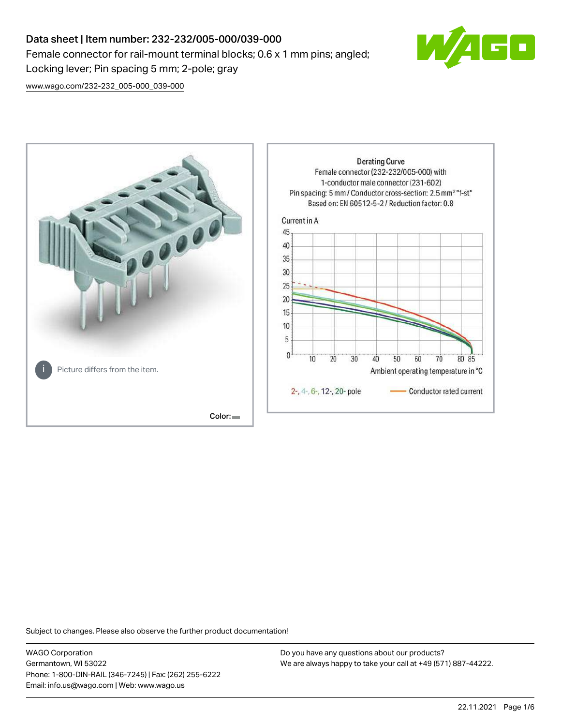# Data sheet | Item number: 232-232/005-000/039-000 Female connector for rail-mount terminal blocks; 0.6 x 1 mm pins; angled; Locking lever; Pin spacing 5 mm; 2-pole; gray



[www.wago.com/232-232\\_005-000\\_039-000](http://www.wago.com/232-232_005-000_039-000)



Subject to changes. Please also observe the further product documentation!

WAGO Corporation Germantown, WI 53022 Phone: 1-800-DIN-RAIL (346-7245) | Fax: (262) 255-6222 Email: info.us@wago.com | Web: www.wago.us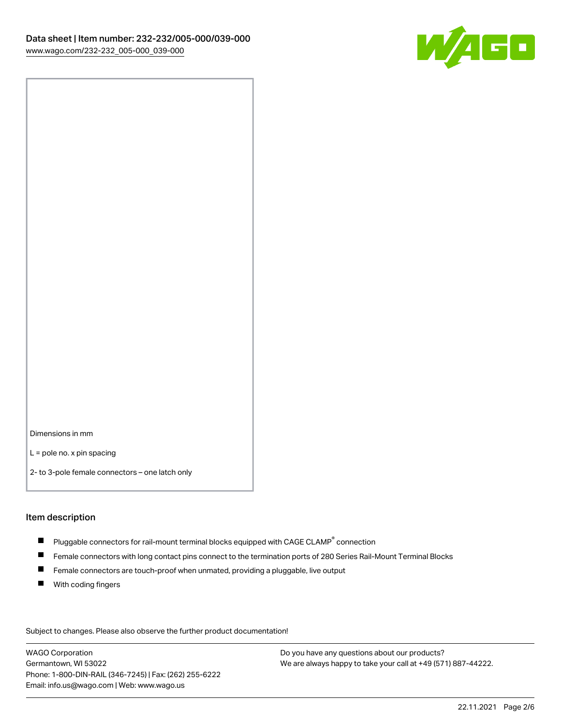

Dimensions in mm

L = pole no. x pin spacing

2- to 3-pole female connectors – one latch only

#### Item description

- $\blacksquare$  Pluggable connectors for rail-mount terminal blocks equipped with CAGE CLAMP $^\circ$  connection
- Female connectors with long contact pins connect to the termination ports of 280 Series Rail-Mount Terminal Blocks
- $\blacksquare$ Female connectors are touch-proof when unmated, providing a pluggable, live output
- $\blacksquare$ With coding fingers

Subject to changes. Please also observe the further product documentation! Data

WAGO Corporation Germantown, WI 53022 Phone: 1-800-DIN-RAIL (346-7245) | Fax: (262) 255-6222 Email: info.us@wago.com | Web: www.wago.us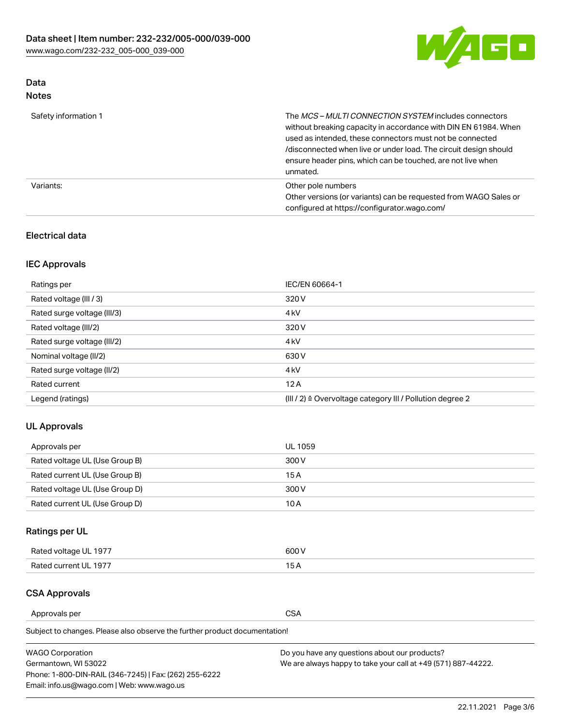

# Data

| Safety information 1 | The MCS-MULTI CONNECTION SYSTEM includes connectors<br>without breaking capacity in accordance with DIN EN 61984. When<br>used as intended, these connectors must not be connected<br>/disconnected when live or under load. The circuit design should<br>ensure header pins, which can be touched, are not live when<br>unmated. |
|----------------------|-----------------------------------------------------------------------------------------------------------------------------------------------------------------------------------------------------------------------------------------------------------------------------------------------------------------------------------|
| Variants:            | Other pole numbers<br>Other versions (or variants) can be requested from WAGO Sales or<br>configured at https://configurator.wago.com/                                                                                                                                                                                            |

## Electrical data

## IEC Approvals

| Ratings per                 | IEC/EN 60664-1                                                        |
|-----------------------------|-----------------------------------------------------------------------|
| Rated voltage (III / 3)     | 320 V                                                                 |
| Rated surge voltage (III/3) | 4 <sub>k</sub> V                                                      |
| Rated voltage (III/2)       | 320 V                                                                 |
| Rated surge voltage (III/2) | 4 <sub>k</sub> V                                                      |
| Nominal voltage (II/2)      | 630 V                                                                 |
| Rated surge voltage (II/2)  | 4 <sub>k</sub> V                                                      |
| Rated current               | 12A                                                                   |
| Legend (ratings)            | $(III / 2)$ $\triangle$ Overvoltage category III / Pollution degree 2 |

## UL Approvals

| Approvals per                  | UL 1059 |
|--------------------------------|---------|
| Rated voltage UL (Use Group B) | 300 V   |
| Rated current UL (Use Group B) | 15 A    |
| Rated voltage UL (Use Group D) | 300 V   |
| Rated current UL (Use Group D) | 10 A    |

# Ratings per UL

| Rated voltage UL 1977 | 300 V |
|-----------------------|-------|
| Rated current UL 1977 |       |

## CSA Approvals

Approvals per CSA

Subject to changes. Please also observe the further product documentation!

| <b>WAGO Corporation</b>                                | Do you have any questions about our products?                 |
|--------------------------------------------------------|---------------------------------------------------------------|
| Germantown, WI 53022                                   | We are always happy to take your call at +49 (571) 887-44222. |
| Phone: 1-800-DIN-RAIL (346-7245)   Fax: (262) 255-6222 |                                                               |
| Email: info.us@wago.com   Web: www.wago.us             |                                                               |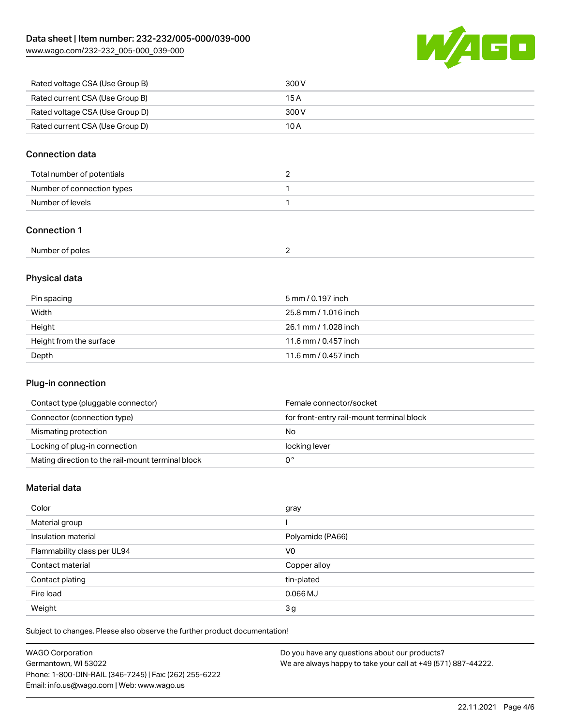[www.wago.com/232-232\\_005-000\\_039-000](http://www.wago.com/232-232_005-000_039-000)



| Rated voltage CSA (Use Group B) | 300 V |
|---------------------------------|-------|
| Rated current CSA (Use Group B) | 15 A  |
| Rated voltage CSA (Use Group D) | 300 V |
| Rated current CSA (Use Group D) | 10 A  |

### Connection data

| Total number of potentials |  |
|----------------------------|--|
| Number of connection types |  |
| Number of levels           |  |

#### Connection 1

| Number of poles |  |  |
|-----------------|--|--|
|-----------------|--|--|

## Physical data

| Pin spacing             | 5 mm / 0.197 inch    |
|-------------------------|----------------------|
| Width                   | 25.8 mm / 1.016 inch |
| Height                  | 26.1 mm / 1.028 inch |
| Height from the surface | 11.6 mm / 0.457 inch |
| Depth                   | 11.6 mm / 0.457 inch |

#### Plug-in connection

| Contact type (pluggable connector)                | Female connector/socket                   |
|---------------------------------------------------|-------------------------------------------|
| Connector (connection type)                       | for front-entry rail-mount terminal block |
| Mismating protection                              | No                                        |
| Locking of plug-in connection                     | locking lever                             |
| Mating direction to the rail-mount terminal block |                                           |

#### Material data

| Color                       | gray             |
|-----------------------------|------------------|
| Material group              |                  |
| Insulation material         | Polyamide (PA66) |
| Flammability class per UL94 | V <sub>0</sub>   |
| Contact material            | Copper alloy     |
| Contact plating             | tin-plated       |
| Fire load                   | $0.066$ MJ       |
| Weight                      | 3 <sub>g</sub>   |

Subject to changes. Please also observe the further product documentation!

| <b>WAGO Corporation</b>                                | Do you have any questions about our products?                 |
|--------------------------------------------------------|---------------------------------------------------------------|
| Germantown, WI 53022                                   | We are always happy to take your call at +49 (571) 887-44222. |
| Phone: 1-800-DIN-RAIL (346-7245)   Fax: (262) 255-6222 |                                                               |
| Email: info.us@wago.com   Web: www.wago.us             |                                                               |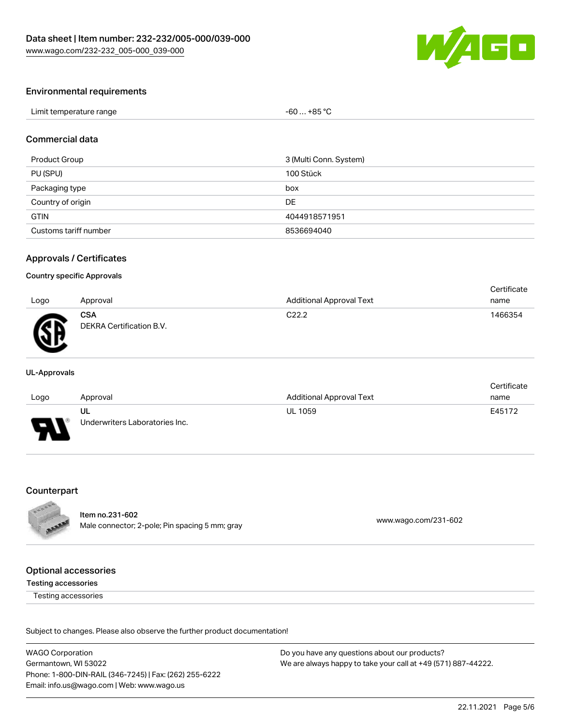

#### Environmental requirements

| Limit temperature range | $$ +85 °C<br>-60 |  |
|-------------------------|------------------|--|
|-------------------------|------------------|--|

#### Commercial data

| Product Group         | 3 (Multi Conn. System) |
|-----------------------|------------------------|
| PU (SPU)              | 100 Stück              |
| Packaging type        | box                    |
| Country of origin     | DE                     |
| <b>GTIN</b>           | 4044918571951          |
| Customs tariff number | 8536694040             |

#### Approvals / Certificates

#### Country specific Approvals

|      |                                        |                                 | Certificate |
|------|----------------------------------------|---------------------------------|-------------|
| Logo | Approval                               | <b>Additional Approval Text</b> | name        |
| Æ    | <b>CSA</b><br>DEKRA Certification B.V. | C <sub>22.2</sub>               | 1466354     |

#### UL-Approvals

|        |                                |                                 | Certificate |
|--------|--------------------------------|---------------------------------|-------------|
| Logo   | Approval                       | <b>Additional Approval Text</b> | name        |
|        | ul                             | <b>UL 1059</b>                  | E45172      |
| $\Box$ | Underwriters Laboratories Inc. |                                 |             |

#### Counterpart



Item no.231-602 Nell 110.251-002<br>
Male connector; 2-pole; Pin spacing 5 mm; gray [www.wago.com/231-602](https://www.wago.com/231-602)

#### Optional accessories

#### Testing accessories

Testing accessories

Subject to changes. Please also observe the further product documentation!

WAGO Corporation Germantown, WI 53022 Phone: 1-800-DIN-RAIL (346-7245) | Fax: (262) 255-6222 Email: info.us@wago.com | Web: www.wago.us